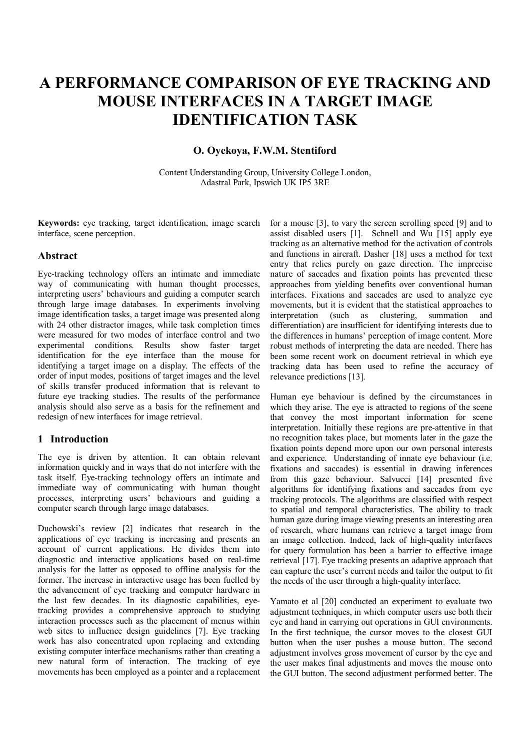# **A PERFORMANCE COMPARISON OF EYE TRACKING AND MOUSE INTERFACES IN A TARGET IMAGE IDENTIFICATION TASK**

## **O. Oyekoya, F.W.M. Stentiford**

Content Understanding Group, University College London, Adastral Park, Ipswich UK IP5 3RE

**Keywords:** eye tracking, target identification, image search interface, scene perception.

#### **Abstract**

Eye-tracking technology offers an intimate and immediate way of communicating with human thought processes, interpreting users' behaviours and guiding a computer search through large image databases. In experiments involving image identification tasks, a target image was presented along with 24 other distractor images, while task completion times were measured for two modes of interface control and two experimental conditions. Results show faster target identification for the eye interface than the mouse for identifying a target image on a display. The effects of the order of input modes, positions of target images and the level of skills transfer produced information that is relevant to future eye tracking studies. The results of the performance analysis should also serve as a basis for the refinement and redesign of new interfaces for image retrieval.

#### **1 Introduction**

The eye is driven by attention. It can obtain relevant information quickly and in ways that do not interfere with the task itself. Eye-tracking technology offers an intimate and immediate way of communicating with human thought processes, interpreting users' behaviours and guiding a computer search through large image databases.

Duchowski's review [2] indicates that research in the applications of eye tracking is increasing and presents an account of current applications. He divides them into diagnostic and interactive applications based on real-time analysis for the latter as opposed to offline analysis for the former. The increase in interactive usage has been fuelled by the advancement of eye tracking and computer hardware in the last few decades. In its diagnostic capabilities, eyetracking provides a comprehensive approach to studying interaction processes such as the placement of menus within web sites to influence design guidelines [7]. Eye tracking work has also concentrated upon replacing and extending existing computer interface mechanisms rather than creating a new natural form of interaction. The tracking of eye movements has been employed as a pointer and a replacement for a mouse [3], to vary the screen scrolling speed [9] and to assist disabled users [1]. Schnell and Wu [15] apply eye tracking as an alternative method for the activation of controls and functions in aircraft. Dasher [18] uses a method for text entry that relies purely on gaze direction. The imprecise nature of saccades and fixation points has prevented these approaches from yielding benefits over conventional human interfaces. Fixations and saccades are used to analyze eye movements, but it is evident that the statistical approaches to interpretation (such as clustering, summation and differentiation) are insufficient for identifying interests due to the differences in humans' perception of image content. More robust methods of interpreting the data are needed. There has been some recent work on document retrieval in which eve tracking data has been used to refine the accuracy of relevance predictions [13].

Human eye behaviour is defined by the circumstances in which they arise. The eye is attracted to regions of the scene that convey the most important information for scene interpretation. Initially these regions are pre-attentive in that no recognition takes place, but moments later in the gaze the fixation points depend more upon our own personal interests and experience. Understanding of innate eye behaviour (i.e. fixations and saccades) is essential in drawing inferences from this gaze behaviour. Salvucci [14] presented five algorithms for identifying fixations and saccades from eye tracking protocols. The algorithms are classified with respect to spatial and temporal characteristics. The ability to track human gaze during image viewing presents an interesting area of research, where humans can retrieve a target image from an image collection. Indeed, lack of high-quality interfaces for query formulation has been a barrier to effective image retrieval [17]. Eye tracking presents an adaptive approach that can capture the user's current needs and tailor the output to fit the needs of the user through a high-quality interface.

Yamato et al [20] conducted an experiment to evaluate two adjustment techniques, in which computer users use both their eye and hand in carrying out operations in GUI environments. In the first technique, the cursor moves to the closest GUI button when the user pushes a mouse button. The second adjustment involves gross movement of cursor by the eye and the user makes final adjustments and moves the mouse onto the GUI button. The second adjustment performed better. The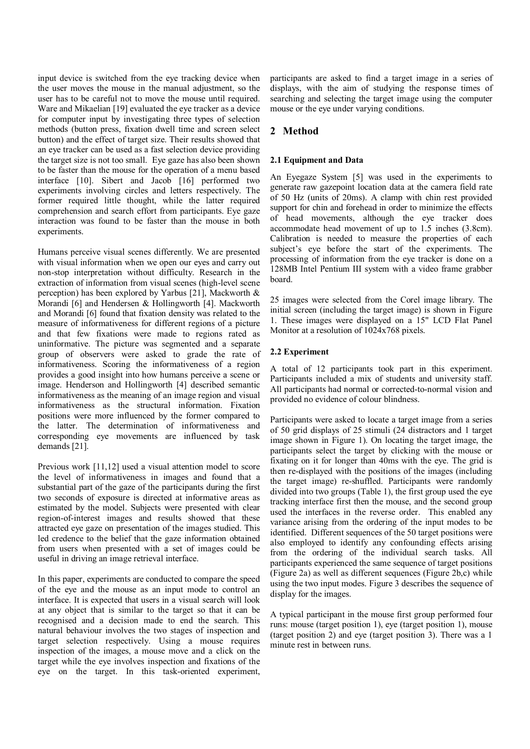input device is switched from the eye tracking device when the user moves the mouse in the manual adjustment, so the user has to be careful not to move the mouse until required. Ware and Mikaelian [19] evaluated the eye tracker as a device for computer input by investigating three types of selection methods (button press, fixation dwell time and screen select button) and the effect of target size. Their results showed that an eye tracker can be used as a fast selection device providing the target size is not too small. Eye gaze has also been shown to be faster than the mouse for the operation of a menu based interface [10]. Sibert and Jacob [16] performed two experiments involving circles and letters respectively. The former required little thought, while the latter required comprehension and search effort from participants. Eye gaze interaction was found to be faster than the mouse in both experiments.

Humans perceive visual scenes differently. We are presented with visual information when we open our eyes and carry out non-stop interpretation without difficulty. Research in the extraction of information from visual scenes (high-level scene perception) has been explored by Yarbus [21], Mackworth & Morandi [6] and Hendersen & Hollingworth [4]. Mackworth and Morandi [6] found that fixation density was related to the measure of informativeness for different regions of a picture and that few fixations were made to regions rated as uninformative. The picture was segmented and a separate group of observers were asked to grade the rate of informativeness. Scoring the informativeness of a region provides a good insight into how humans perceive a scene or image. Henderson and Hollingworth [4] described semantic informativeness as the meaning of an image region and visual informativeness as the structural information. Fixation positions were more influenced by the former compared to the latter. The determination of informativeness and corresponding eye movements are influenced by task demands [21].

Previous work [11,12] used a visual attention model to score the level of informativeness in images and found that a substantial part of the gaze of the participants during the first two seconds of exposure is directed at informative areas as estimated by the model. Subjects were presented with clear region-of-interest images and results showed that these attracted eye gaze on presentation of the images studied. This led credence to the belief that the gaze information obtained from users when presented with a set of images could be useful in driving an image retrieval interface.

In this paper, experiments are conducted to compare the speed of the eye and the mouse as an input mode to control an interface. It is expected that users in a visual search will look at any object that is similar to the target so that it can be recognised and a decision made to end the search. This natural behaviour involves the two stages of inspection and target selection respectively. Using a mouse requires inspection of the images, a mouse move and a click on the target while the eye involves inspection and fixations of the eye on the target. In this task-oriented experiment, participants are asked to find a target image in a series of displays, with the aim of studying the response times of searching and selecting the target image using the computer mouse or the eye under varying conditions.

## **2 Method**

### **2.1 Equipment and Data**

An Eyegaze System [5] was used in the experiments to generate raw gazepoint location data at the camera field rate of 50 Hz (units of 20ms). A clamp with chin rest provided support for chin and forehead in order to minimize the effects of head movements, although the eye tracker does accommodate head movement of up to 1.5 inches (3.8cm). Calibration is needed to measure the properties of each subject's eye before the start of the experiments. The processing of information from the eye tracker is done on a 128MB Intel Pentium III system with a video frame grabber board.

25 images were selected from the Corel image library. The initial screen (including the target image) is shown in Figure 1. These images were displayed on a 15" LCD Flat Panel Monitor at a resolution of 1024x768 pixels.

#### **2.2 Experiment**

A total of 12 participants took part in this experiment. Participants included a mix of students and university staff. All participants had normal or corrected-to-normal vision and provided no evidence of colour blindness.

Participants were asked to locate a target image from a series of 50 grid displays of 25 stimuli (24 distractors and 1 target image shown in Figure 1). On locating the target image, the participants select the target by clicking with the mouse or fixating on it for longer than 40ms with the eye. The grid is then re-displayed with the positions of the images (including the target image) re-shuffled. Participants were randomly divided into two groups (Table 1), the first group used the eye tracking interface first then the mouse, and the second group used the interfaces in the reverse order. This enabled any variance arising from the ordering of the input modes to be identified. Different sequences of the 50 target positions were also employed to identify any confounding effects arising from the ordering of the individual search tasks. All participants experienced the same sequence of target positions (Figure 2a) as well as different sequences (Figure 2b,c) while using the two input modes. Figure 3 describes the sequence of display for the images.

A typical participant in the mouse first group performed four runs: mouse (target position 1), eye (target position 1), mouse (target position 2) and eye (target position 3). There was a 1 minute rest in between runs.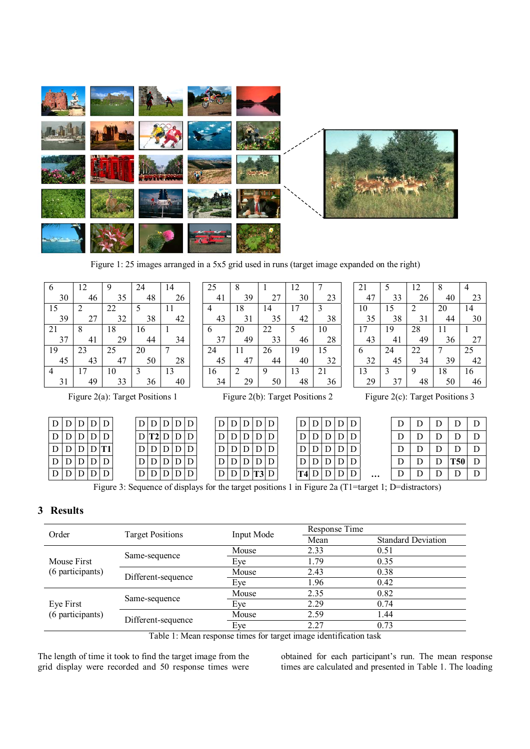

Figure 1: 25 images arranged in a 5x5 grid used in runs (target image expanded on the right)

 

 

 

 

 $\overline{Q}$   

 

 

 

   

 

 

 

   

 

 

 

 

 

 

 

 

 

| 6  | 12 | 9  | 24 | 14 |
|----|----|----|----|----|
| 30 | 46 | 35 | 48 | 26 |
| 15 | 2  | 22 | 5  | 11 |
| 39 | 27 | 32 | 38 | 42 |
| 21 | 8  | 18 | 16 |    |
| 37 | 41 | 29 | 44 | 34 |
| 19 | 23 | 25 | 20 | 7  |
| 45 | 43 | 47 | 50 | 28 |
| 4  | 17 | 10 | 3  | 13 |
| 31 | 49 | 33 | 36 | 40 |

|   | $D$ $D$ $D$ $D$ $D$ |    |   |  |
|---|---------------------|----|---|--|
|   | D   D   D   D   D   |    |   |  |
|   | D D D D T1          |    |   |  |
| D | D/D/D               |    |   |  |
| D | D                   | DD | D |  |

| D | D | D              | D | D |
|---|---|----------------|---|---|
|   | ŋ | $\overline{O}$ | D |   |
|   | ר | D              | D |   |
|   |   | ר              | D |   |
|   |   |                |   |   |

|   | D | D | D | D |
|---|---|---|---|---|
|   |   |   |   | D |
|   |   |   |   | D |
|   | Г |   |   | D |
| Γ |   |   |   | J |

| 47 | 33 | 26 | 40 | 23 |
|----|----|----|----|----|
| 10 | 15 | 2  | 20 | 14 |
| 35 | 38 | 31 | 44 | 30 |
| 17 | 19 | 28 | 11 |    |
| 43 | 41 | 49 | 36 | 27 |
| 6  | 24 | 22 | 7  | 25 |
| 32 | 45 | 34 | 39 | 42 |
| 13 | 3  | 9  | 18 | 16 |
| 29 | 37 | 48 | 50 | 46 |
|    |    |    |    |    |

| 12

Figure 2(a): Target Positions 1 Figure 2(b): Target Positions 2 Figure 2(c): Target Positions 3

| D/D/D/D/D         |     |                    |  | D D D D D                      |  | D/D/D/D |                     |  |          | D/D/D/D |  |          | D |  |            |  |
|-------------------|-----|--------------------|--|--------------------------------|--|---------|---------------------|--|----------|---------|--|----------|---|--|------------|--|
| D D D D D         |     |                    |  | $D$ T <sub>2</sub> $D$ $D$ $D$ |  |         | $D$ $D$ $D$ $D$ $D$ |  |          | D/D/D/D |  |          |   |  |            |  |
|                   |     | D   D   D   D   T1 |  | D/D/D/D/D                      |  |         | D/D/D/D/D           |  |          |         |  |          | D |  |            |  |
| D   D   D   D   D |     |                    |  | D/D/D/D/D                      |  |         | D/D/D/D/D           |  |          |         |  |          | D |  | <b>T50</b> |  |
| D   D   D         | D/D |                    |  | D D D                          |  |         | D D D T3 D          |  | $T4$ DID |         |  | $\cdots$ |   |  |            |  |

Figure 3: Sequence of displays for the target positions 1 in Figure 2a (T1=target 1; D=distractors)

# **3 Results**

|       |                                                                                                       |                   | Response Time             |  |  |  |  |  |
|-------|-------------------------------------------------------------------------------------------------------|-------------------|---------------------------|--|--|--|--|--|
| Order |                                                                                                       | Mean              | <b>Standard Deviation</b> |  |  |  |  |  |
|       | Mouse                                                                                                 | 2.33              | 0.51                      |  |  |  |  |  |
|       | Eye                                                                                                   | 1.79              | 0.35                      |  |  |  |  |  |
|       | Mouse                                                                                                 | 2.43              | 0.38                      |  |  |  |  |  |
|       | Eye                                                                                                   | 1.96              | 0.42                      |  |  |  |  |  |
|       | Mouse                                                                                                 | 2.35              | 0.82                      |  |  |  |  |  |
|       | Eye                                                                                                   | 2.29              | 0.74                      |  |  |  |  |  |
|       | Mouse                                                                                                 | 2.59              | 1.44                      |  |  |  |  |  |
|       | Eye                                                                                                   | 2.27              | 0.73                      |  |  |  |  |  |
|       | <b>Target Positions</b><br>Same-sequence<br>Different-sequence<br>Same-sequence<br>Different-sequence | <b>Input Mode</b> |                           |  |  |  |  |  |

Table 1: Mean response times for target image identification task

The length of time it took to find the target image from the grid display were recorded and 50 response times were obtained for each participant's run. The mean response times are calculated and presented in Table 1. The loading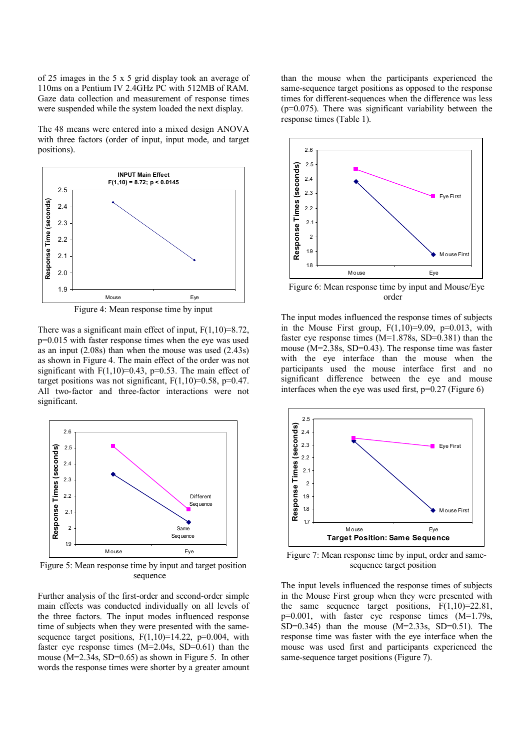of 25 images in the 5 x 5 grid display took an average of 110ms on a Pentium IV 2.4GHz PC with 512MB of RAM. Gaze data collection and measurement of response times were suspended while the system loaded the next display.

The 48 means were entered into a mixed design ANOVA with three factors (order of input, input mode, and target positions).



There was a significant main effect of input,  $F(1,10)=8.72$ , p=0.015 with faster response times when the eye was used as an input (2.08s) than when the mouse was used (2.43s) as shown in Figure 4. The main effect of the order was not significant with  $F(1,10)=0.43$ ,  $p=0.53$ . The main effect of target positions was not significant,  $F(1,10)=0.58$ ,  $p=0.47$ . All two-factor and three-factor interactions were not significant.



Figure 5: Mean response time by input and target position sequence

Further analysis of the first-order and second-order simple main effects was conducted individually on all levels of the three factors. The input modes influenced response time of subjects when they were presented with the samesequence target positions,  $F(1,10)=14.22$ ,  $p=0.004$ , with faster eye response times (M=2.04s, SD=0.61) than the mouse (M=2.34s, SD=0.65) as shown in Figure 5. In other words the response times were shorter by a greater amount than the mouse when the participants experienced the same-sequence target positions as opposed to the response times for different-sequences when the difference was less  $(p=0.075)$ . There was significant variability between the response times (Table 1).



Figure 6: Mean response time by input and Mouse/Eye order

The input modes influenced the response times of subjects in the Mouse First group,  $F(1,10)=9.09$ ,  $p=0.013$ , with faster eye response times  $(M=1.878s, SD=0.381)$  than the mouse (M=2.38s, SD=0.43). The response time was faster with the eye interface than the mouse when the participants used the mouse interface first and no significant difference between the eye and mouse interfaces when the eye was used first,  $p=0.27$  (Figure 6)



Figure 7: Mean response time by input, order and samesequence target position

The input levels influenced the response times of subjects in the Mouse First group when they were presented with the same sequence target positions,  $F(1,10)=22.81$ , p=0.001, with faster eye response times (M=1.79s, SD=0.345) than the mouse  $(M=2.33s, SD=0.51)$ . The response time was faster with the eye interface when the mouse was used first and participants experienced the same-sequence target positions (Figure 7).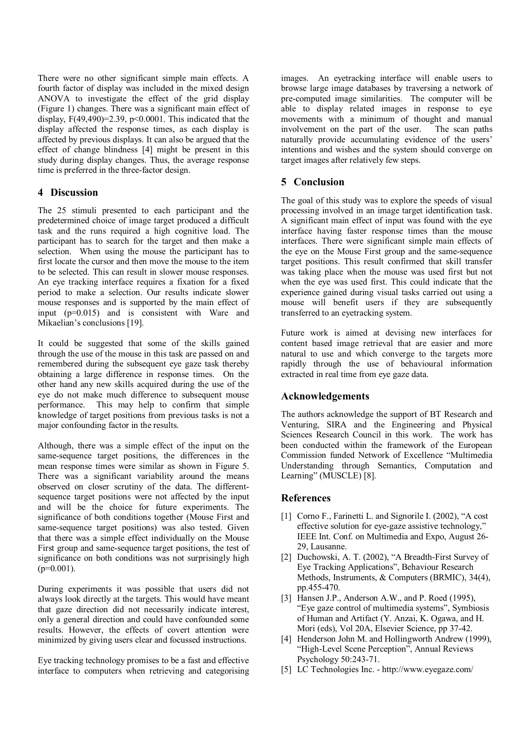There were no other significant simple main effects. A fourth factor of display was included in the mixed design ANOVA to investigate the effect of the grid display (Figure 1) changes. There was a significant main effect of display,  $F(49,490)=2.39$ ,  $p<0.0001$ . This indicated that the display affected the response times, as each display is affected by previous displays. It can also be argued that the effect of change blindness [4] might be present in this study during display changes. Thus, the average response time is preferred in the three-factor design.

## **4 Discussion**

The 25 stimuli presented to each participant and the predetermined choice of image target produced a difficult task and the runs required a high cognitive load. The participant has to search for the target and then make a selection. When using the mouse the participant has to first locate the cursor and then move the mouse to the item to be selected. This can result in slower mouse responses. An eye tracking interface requires a fixation for a fixed period to make a selection. Our results indicate slower mouse responses and is supported by the main effect of input (p=0.015) and is consistent with Ware and Mikaelian's conclusions [19].

It could be suggested that some of the skills gained through the use of the mouse in this task are passed on and remembered during the subsequent eye gaze task thereby obtaining a large difference in response times. On the other hand any new skills acquired during the use of the eye do not make much difference to subsequent mouse performance. This may help to confirm that simple knowledge of target positions from previous tasks is not a major confounding factor in the results.

Although, there was a simple effect of the input on the same-sequence target positions, the differences in the mean response times were similar as shown in Figure 5. There was a significant variability around the means observed on closer scrutiny of the data. The differentsequence target positions were not affected by the input and will be the choice for future experiments. The significance of both conditions together (Mouse First and same-sequence target positions) was also tested. Given that there was a simple effect individually on the Mouse First group and same-sequence target positions, the test of significance on both conditions was not surprisingly high  $(p=0.001)$ .

During experiments it was possible that users did not always look directly at the targets. This would have meant that gaze direction did not necessarily indicate interest, only a general direction and could have confounded some results. However, the effects of covert attention were minimized by giving users clear and focussed instructions.

Eye tracking technology promises to be a fast and effective interface to computers when retrieving and categorising images. An eyetracking interface will enable users to browse large image databases by traversing a network of pre-computed image similarities. The computer will be able to display related images in response to eye movements with a minimum of thought and manual involvement on the part of the user. The scan paths naturally provide accumulating evidence of the users' intentions and wishes and the system should converge on target images after relatively few steps.

# **5 Conclusion**

The goal of this study was to explore the speeds of visual processing involved in an image target identification task. A significant main effect of input was found with the eye interface having faster response times than the mouse interfaces. There were significant simple main effects of the eye on the Mouse First group and the same-sequence target positions. This result confirmed that skill transfer was taking place when the mouse was used first but not when the eye was used first. This could indicate that the experience gained during visual tasks carried out using a mouse will benefit users if they are subsequently transferred to an eyetracking system.

Future work is aimed at devising new interfaces for content based image retrieval that are easier and more natural to use and which converge to the targets more rapidly through the use of behavioural information extracted in real time from eye gaze data.

# **Acknowledgements**

The authors acknowledge the support of BT Research and Venturing, SIRA and the Engineering and Physical Sciences Research Council in this work. The work has been conducted within the framework of the European Commission funded Network of Excellence "Multimedia Understanding through Semantics, Computation and Learning" (MUSCLE)<sup>[8]</sup>.

# **References**

- [1] Corno F., Farinetti L. and Signorile I. (2002), "A cost effective solution for eye-gaze assistive technology," IEEE Int. Conf. on Multimedia and Expo, August 26- 29, Lausanne.
- [2] Duchowski, A. T. (2002), "A Breadth-First Survey of Eye Tracking Applications", Behaviour Research Methods, Instruments, & Computers (BRMIC), 34(4), pp.455-470.
- [3] Hansen J.P., Anderson A.W., and P. Roed (1995), "Eye gaze control of multimedia systems", Symbiosis of Human and Artifact (Y. Anzai, K. Ogawa, and H. Mori (eds), Vol 20A, Elsevier Science, pp 37-42.
- [4] Henderson John M. and Hollingworth Andrew (1999), "High-Level Scene Perception", Annual Reviews Psychology 50:243-71.
- [5] LC Technologies Inc. http://www.eyegaze.com/